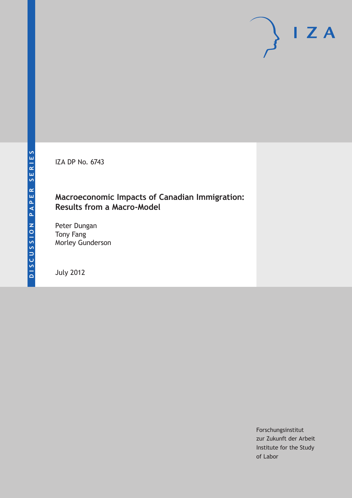IZA DP No. 6743

### **Macroeconomic Impacts of Canadian Immigration: Results from a Macro-Model**

Peter Dungan Tony Fang Morley Gunderson

July 2012

Forschungsinstitut zur Zukunft der Arbeit Institute for the Study of Labor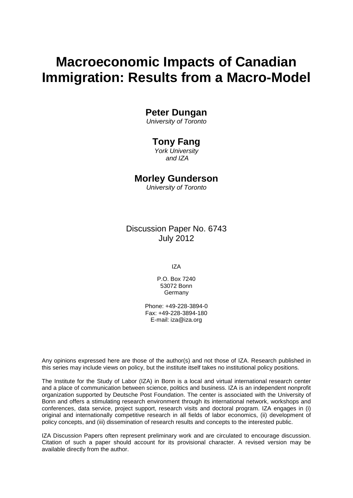# **Macroeconomic Impacts of Canadian Immigration: Results from a Macro-Model**

### **Peter Dungan**

*University of Toronto*

### **Tony Fang**

*York University and IZA*

### **Morley Gunderson**

*University of Toronto*

Discussion Paper No. 6743 July 2012

IZA

P.O. Box 7240 53072 Bonn Germany

Phone: +49-228-3894-0 Fax: +49-228-3894-180 E-mail: [iza@iza.org](mailto:iza@iza.org)

Any opinions expressed here are those of the author(s) and not those of IZA. Research published in this series may include views on policy, but the institute itself takes no institutional policy positions.

The Institute for the Study of Labor (IZA) in Bonn is a local and virtual international research center and a place of communication between science, politics and business. IZA is an independent nonprofit organization supported by Deutsche Post Foundation. The center is associated with the University of Bonn and offers a stimulating research environment through its international network, workshops and conferences, data service, project support, research visits and doctoral program. IZA engages in (i) original and internationally competitive research in all fields of labor economics, (ii) development of policy concepts, and (iii) dissemination of research results and concepts to the interested public.

<span id="page-1-0"></span>IZA Discussion Papers often represent preliminary work and are circulated to encourage discussion. Citation of such a paper should account for its provisional character. A revised version may be available directly from the author.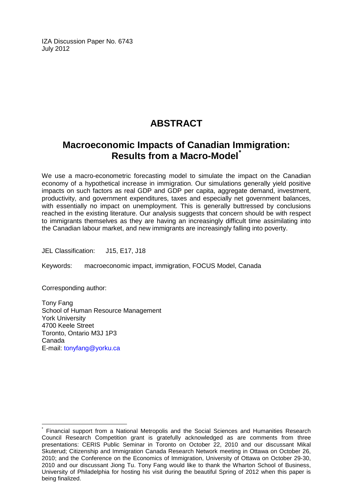IZA Discussion Paper No. 6743 July 2012

## **ABSTRACT**

### **Macroeconomic Impacts of Canadian Immigration: Results from a Macro-Model[\\*](#page-1-0)**

We use a macro-econometric forecasting model to simulate the impact on the Canadian economy of a hypothetical increase in immigration. Our simulations generally yield positive impacts on such factors as real GDP and GDP per capita, aggregate demand, investment, productivity, and government expenditures, taxes and especially net government balances, with essentially no impact on unemployment. This is generally buttressed by conclusions reached in the existing literature. Our analysis suggests that concern should be with respect to immigrants themselves as they are having an increasingly difficult time assimilating into the Canadian labour market, and new immigrants are increasingly falling into poverty.

JEL Classification: J15, E17, J18

Keywords: macroeconomic impact, immigration, FOCUS Model, Canada

Corresponding author:

Tony Fang School of Human Resource Management York University 4700 Keele Street Toronto, Ontario M3J 1P3 Canada E-mail: [tonyfang@yorku.ca](mailto:tonyfang@yorku.ca)

Financial support from a National Metropolis and the Social Sciences and Humanities Research Council Research Competition grant is gratefully acknowledged as are comments from three presentations: CERIS Public Seminar in Toronto on October 22, 2010 and our discussant Mikal Skuterud; Citizenship and Immigration Canada Research Network meeting in Ottawa on October 26, 2010; and the Conference on the Economics of Immigration, University of Ottawa on October 29-30, 2010 and our discussant Jiong Tu. Tony Fang would like to thank the Wharton School of Business, University of Philadelphia for hosting his visit during the beautiful Spring of 2012 when this paper is being finalized.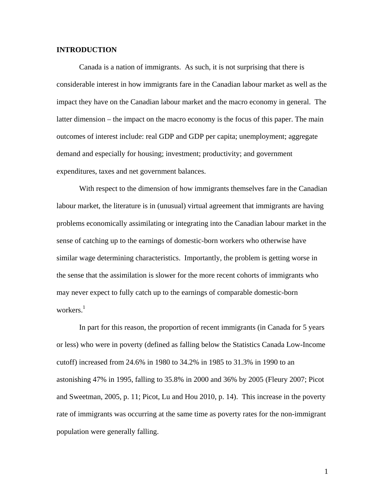#### **INTRODUCTION**

Canada is a nation of immigrants. As such, it is not surprising that there is considerable interest in how immigrants fare in the Canadian labour market as well as the impact they have on the Canadian labour market and the macro economy in general. The latter dimension – the impact on the macro economy is the focus of this paper. The main outcomes of interest include: real GDP and GDP per capita; unemployment; aggregate demand and especially for housing; investment; productivity; and government expenditures, taxes and net government balances.

With respect to the dimension of how immigrants themselves fare in the Canadian labour market, the literature is in (unusual) virtual agreement that immigrants are having problems economically assimilating or integrating into the Canadian labour market in the sense of catching up to the earnings of domestic-born workers who otherwise have similar wage determining characteristics. Importantly, the problem is getting worse in the sense that the assimilation is slower for the more recent cohorts of immigrants who may never expect to fully catch up to the earnings of comparable domestic-born workers. $<sup>1</sup>$  $<sup>1</sup>$  $<sup>1</sup>$ </sup>

In part for this reason, the proportion of recent immigrants (in Canada for 5 years or less) who were in poverty (defined as falling below the Statistics Canada Low-Income cutoff) increased from 24.6% in 1980 to 34.2% in 1985 to 31.3% in 1990 to an astonishing 47% in 1995, falling to 35.8% in 2000 and 36% by 2005 (Fleury 2007; Picot and Sweetman, 2005, p. 11; Picot, Lu and Hou 2010, p. 14). This increase in the poverty rate of immigrants was occurring at the same time as poverty rates for the non-immigrant population were generally falling.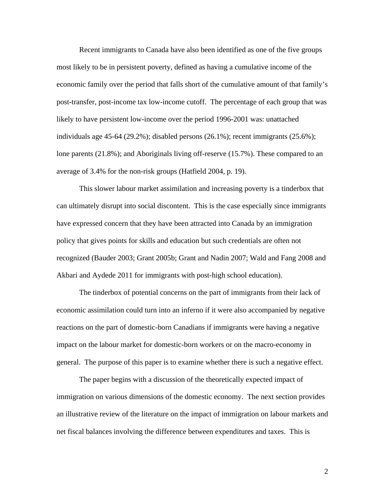Recent immigrants to Canada have also been identified as one of the five groups most likely to be in persistent poverty, defined as having a cumulative income of the economic family over the period that falls short of the cumulative amount of that family's post-transfer, post-income tax low-income cutoff. The percentage of each group that was likely to have persistent low-income over the period 1996-2001 was: unattached individuals age 45-64 (29.2%); disabled persons (26.1%); recent immigrants (25.6%); lone parents (21.8%); and Aboriginals living off-reserve (15.7%). These compared to an average of 3.4% for the non-risk groups (Hatfield 2004, p. 19).

This slower labour market assimilation and increasing poverty is a tinderbox that can ultimately disrupt into social discontent. This is the case especially since immigrants have expressed concern that they have been attracted into Canada by an immigration policy that gives points for skills and education but such credentials are often not recognized (Bauder 2003; Grant 2005b; Grant and Nadin 2007; Wald and Fang 2008 and Akbari and Aydede 2011 for immigrants with post-high school education).

 The tinderbox of potential concerns on the part of immigrants from their lack of economic assimilation could turn into an inferno if it were also accompanied by negative reactions on the part of domestic-born Canadians if immigrants were having a negative impact on the labour market for domestic-born workers or on the macro-economy in general. The purpose of this paper is to examine whether there is such a negative effect.

The paper begins with a discussion of the theoretically expected impact of immigration on various dimensions of the domestic economy. The next section provides an illustrative review of the literature on the impact of immigration on labour markets and net fiscal balances involving the difference between expenditures and taxes. This is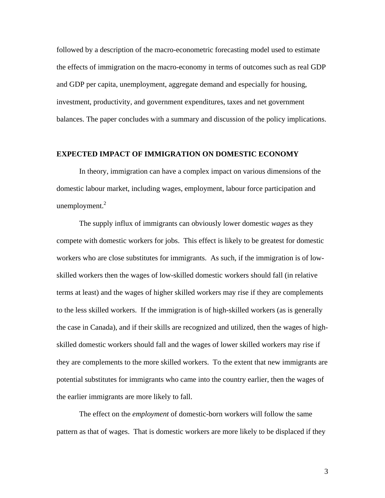followed by a description of the macro-econometric forecasting model used to estimate the effects of immigration on the macro-economy in terms of outcomes such as real GDP and GDP per capita, unemployment, aggregate demand and especially for housing, investment, productivity, and government expenditures, taxes and net government balances. The paper concludes with a summary and discussion of the policy implications.

#### **EXPECTED IMPACT OF IMMIGRATION ON DOMESTIC ECONOMY**

In theory, immigration can have a complex impact on various dimensions of the domestic labour market, including wages, employment, labour force participation and unemployment. $2$ 

The supply influx of immigrants can obviously lower domestic *wages* as they compete with domestic workers for jobs. This effect is likely to be greatest for domestic workers who are close substitutes for immigrants. As such, if the immigration is of lowskilled workers then the wages of low-skilled domestic workers should fall (in relative terms at least) and the wages of higher skilled workers may rise if they are complements to the less skilled workers. If the immigration is of high-skilled workers (as is generally the case in Canada), and if their skills are recognized and utilized, then the wages of highskilled domestic workers should fall and the wages of lower skilled workers may rise if they are complements to the more skilled workers. To the extent that new immigrants are potential substitutes for immigrants who came into the country earlier, then the wages of the earlier immigrants are more likely to fall.

The effect on the *employment* of domestic-born workers will follow the same pattern as that of wages. That is domestic workers are more likely to be displaced if they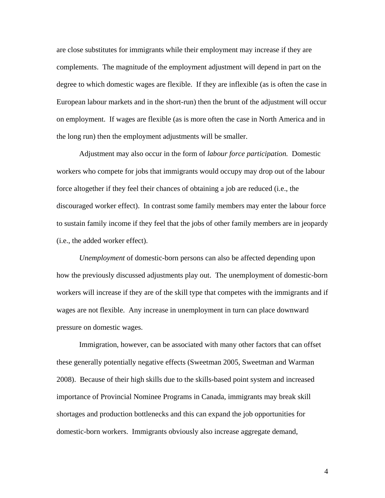are close substitutes for immigrants while their employment may increase if they are complements. The magnitude of the employment adjustment will depend in part on the degree to which domestic wages are flexible. If they are inflexible (as is often the case in European labour markets and in the short-run) then the brunt of the adjustment will occur on employment. If wages are flexible (as is more often the case in North America and in the long run) then the employment adjustments will be smaller.

Adjustment may also occur in the form of *labour force participation.* Domestic workers who compete for jobs that immigrants would occupy may drop out of the labour force altogether if they feel their chances of obtaining a job are reduced (i.e., the discouraged worker effect). In contrast some family members may enter the labour force to sustain family income if they feel that the jobs of other family members are in jeopardy (i.e., the added worker effect).

*Unemployment* of domestic-born persons can also be affected depending upon how the previously discussed adjustments play out. The unemployment of domestic-born workers will increase if they are of the skill type that competes with the immigrants and if wages are not flexible. Any increase in unemployment in turn can place downward pressure on domestic wages.

Immigration, however, can be associated with many other factors that can offset these generally potentially negative effects (Sweetman 2005, Sweetman and Warman 2008). Because of their high skills due to the skills-based point system and increased importance of Provincial Nominee Programs in Canada, immigrants may break skill shortages and production bottlenecks and this can expand the job opportunities for domestic-born workers. Immigrants obviously also increase aggregate demand,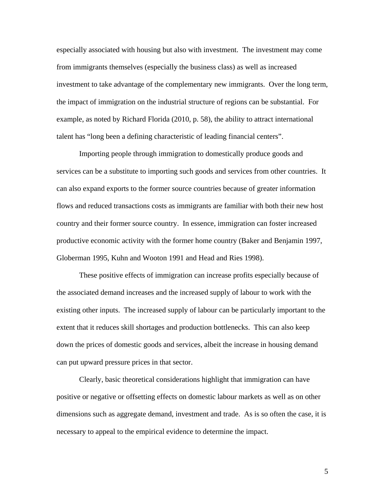especially associated with housing but also with investment. The investment may come from immigrants themselves (especially the business class) as well as increased investment to take advantage of the complementary new immigrants. Over the long term, the impact of immigration on the industrial structure of regions can be substantial. For example, as noted by Richard Florida (2010, p. 58), the ability to attract international talent has "long been a defining characteristic of leading financial centers".

Importing people through immigration to domestically produce goods and services can be a substitute to importing such goods and services from other countries. It can also expand exports to the former source countries because of greater information flows and reduced transactions costs as immigrants are familiar with both their new host country and their former source country. In essence, immigration can foster increased productive economic activity with the former home country (Baker and Benjamin 1997, Globerman 1995, Kuhn and Wooton 1991 and Head and Ries 1998).

These positive effects of immigration can increase profits especially because of the associated demand increases and the increased supply of labour to work with the existing other inputs. The increased supply of labour can be particularly important to the extent that it reduces skill shortages and production bottlenecks. This can also keep down the prices of domestic goods and services, albeit the increase in housing demand can put upward pressure prices in that sector.

Clearly, basic theoretical considerations highlight that immigration can have positive or negative or offsetting effects on domestic labour markets as well as on other dimensions such as aggregate demand, investment and trade. As is so often the case, it is necessary to appeal to the empirical evidence to determine the impact.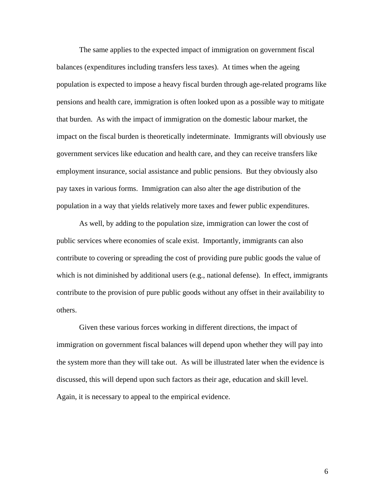The same applies to the expected impact of immigration on government fiscal balances (expenditures including transfers less taxes). At times when the ageing population is expected to impose a heavy fiscal burden through age-related programs like pensions and health care, immigration is often looked upon as a possible way to mitigate that burden. As with the impact of immigration on the domestic labour market, the impact on the fiscal burden is theoretically indeterminate. Immigrants will obviously use government services like education and health care, and they can receive transfers like employment insurance, social assistance and public pensions. But they obviously also pay taxes in various forms. Immigration can also alter the age distribution of the population in a way that yields relatively more taxes and fewer public expenditures.

As well, by adding to the population size, immigration can lower the cost of public services where economies of scale exist. Importantly, immigrants can also contribute to covering or spreading the cost of providing pure public goods the value of which is not diminished by additional users (e.g., national defense). In effect, immigrants contribute to the provision of pure public goods without any offset in their availability to others.

Given these various forces working in different directions, the impact of immigration on government fiscal balances will depend upon whether they will pay into the system more than they will take out. As will be illustrated later when the evidence is discussed, this will depend upon such factors as their age, education and skill level. Again, it is necessary to appeal to the empirical evidence.

 $\sim$  6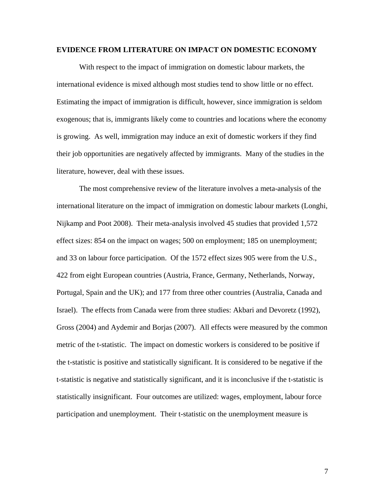#### **EVIDENCE FROM LITERATURE ON IMPACT ON DOMESTIC ECONOMY**

With respect to the impact of immigration on domestic labour markets, the international evidence is mixed although most studies tend to show little or no effect. Estimating the impact of immigration is difficult, however, since immigration is seldom exogenous; that is, immigrants likely come to countries and locations where the economy is growing. As well, immigration may induce an exit of domestic workers if they find their job opportunities are negatively affected by immigrants. Many of the studies in the literature, however, deal with these issues.

The most comprehensive review of the literature involves a meta-analysis of the international literature on the impact of immigration on domestic labour markets (Longhi, Nijkamp and Poot 2008). Their meta-analysis involved 45 studies that provided 1,572 effect sizes: 854 on the impact on wages; 500 on employment; 185 on unemployment; and 33 on labour force participation. Of the 1572 effect sizes 905 were from the U.S., 422 from eight European countries (Austria, France, Germany, Netherlands, Norway, Portugal, Spain and the UK); and 177 from three other countries (Australia, Canada and Israel). The effects from Canada were from three studies: Akbari and Devoretz (1992), Gross (2004) and Aydemir and Borjas (2007). All effects were measured by the common metric of the t-statistic. The impact on domestic workers is considered to be positive if the t-statistic is positive and statistically significant. It is considered to be negative if the t-statistic is negative and statistically significant, and it is inconclusive if the t-statistic is statistically insignificant. Four outcomes are utilized: wages, employment, labour force participation and unemployment. Their t-statistic on the unemployment measure is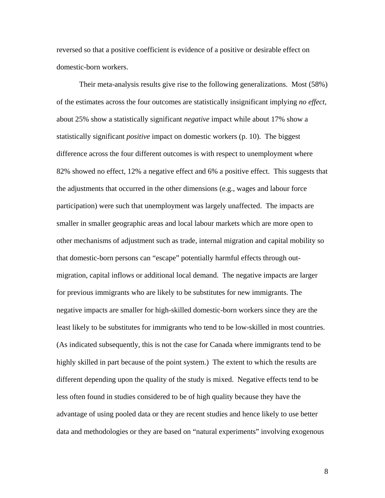reversed so that a positive coefficient is evidence of a positive or desirable effect on domestic-born workers.

Their meta-analysis results give rise to the following generalizations. Most (58%) of the estimates across the four outcomes are statistically insignificant implying *no effect*, about 25% show a statistically significant *negative* impact while about 17% show a statistically significant *positive* impact on domestic workers (p. 10). The biggest difference across the four different outcomes is with respect to unemployment where 82% showed no effect, 12% a negative effect and 6% a positive effect. This suggests that the adjustments that occurred in the other dimensions (e.g., wages and labour force participation) were such that unemployment was largely unaffected. The impacts are smaller in smaller geographic areas and local labour markets which are more open to other mechanisms of adjustment such as trade, internal migration and capital mobility so that domestic-born persons can "escape" potentially harmful effects through outmigration, capital inflows or additional local demand. The negative impacts are larger for previous immigrants who are likely to be substitutes for new immigrants. The negative impacts are smaller for high-skilled domestic-born workers since they are the least likely to be substitutes for immigrants who tend to be low-skilled in most countries. (As indicated subsequently, this is not the case for Canada where immigrants tend to be highly skilled in part because of the point system.) The extent to which the results are different depending upon the quality of the study is mixed. Negative effects tend to be less often found in studies considered to be of high quality because they have the advantage of using pooled data or they are recent studies and hence likely to use better data and methodologies or they are based on "natural experiments" involving exogenous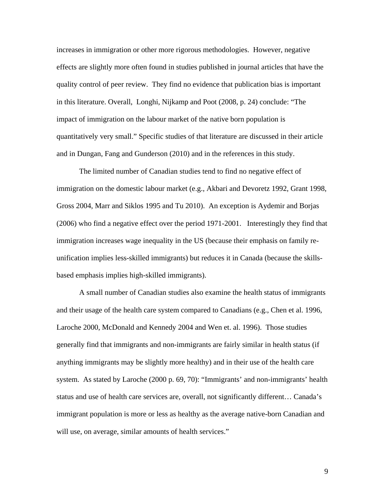increases in immigration or other more rigorous methodologies. However, negative effects are slightly more often found in studies published in journal articles that have the quality control of peer review. They find no evidence that publication bias is important in this literature. Overall, Longhi, Nijkamp and Poot (2008, p. 24) conclude: "The impact of immigration on the labour market of the native born population is quantitatively very small." Specific studies of that literature are discussed in their article and in Dungan, Fang and Gunderson (2010) and in the references in this study.

The limited number of Canadian studies tend to find no negative effect of immigration on the domestic labour market (e.g., Akbari and Devoretz 1992, Grant 1998, Gross 2004, Marr and Siklos 1995 and Tu 2010). An exception is Aydemir and Borjas (2006) who find a negative effect over the period 1971-2001. Interestingly they find that immigration increases wage inequality in the US (because their emphasis on family reunification implies less-skilled immigrants) but reduces it in Canada (because the skillsbased emphasis implies high-skilled immigrants).

A small number of Canadian studies also examine the health status of immigrants and their usage of the health care system compared to Canadians (e.g., Chen et al. 1996, Laroche 2000, McDonald and Kennedy 2004 and Wen et. al. 1996). Those studies generally find that immigrants and non-immigrants are fairly similar in health status (if anything immigrants may be slightly more healthy) and in their use of the health care system. As stated by Laroche (2000 p. 69, 70): "Immigrants' and non-immigrants' health status and use of health care services are, overall, not significantly different… Canada's immigrant population is more or less as healthy as the average native-born Canadian and will use, on average, similar amounts of health services."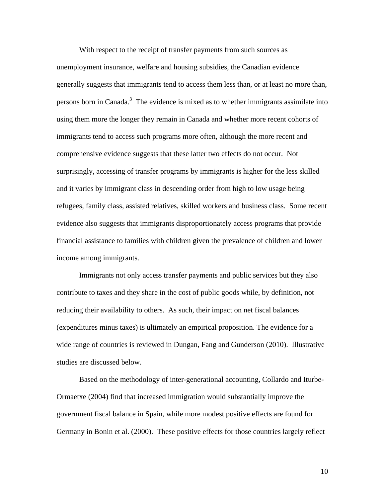With respect to the receipt of transfer payments from such sources as unemployment insurance, welfare and housing subsidies, the Canadian evidence generally suggests that immigrants tend to access them less than, or at least no more than, persons born in Canada.<sup>3</sup> The evidence is mixed as to whether immigrants assimilate into using them more the longer they remain in Canada and whether more recent cohorts of immigrants tend to access such programs more often, although the more recent and comprehensive evidence suggests that these latter two effects do not occur. Not surprisingly, accessing of transfer programs by immigrants is higher for the less skilled and it varies by immigrant class in descending order from high to low usage being refugees, family class, assisted relatives, skilled workers and business class. Some recent evidence also suggests that immigrants disproportionately access programs that provide financial assistance to families with children given the prevalence of children and lower income among immigrants.

Immigrants not only access transfer payments and public services but they also contribute to taxes and they share in the cost of public goods while, by definition, not reducing their availability to others. As such, their impact on net fiscal balances (expenditures minus taxes) is ultimately an empirical proposition. The evidence for a wide range of countries is reviewed in Dungan, Fang and Gunderson (2010). Illustrative studies are discussed below.

Based on the methodology of inter-generational accounting, Collardo and Iturbe-Ormaetxe (2004) find that increased immigration would substantially improve the government fiscal balance in Spain, while more modest positive effects are found for Germany in Bonin et al. (2000). These positive effects for those countries largely reflect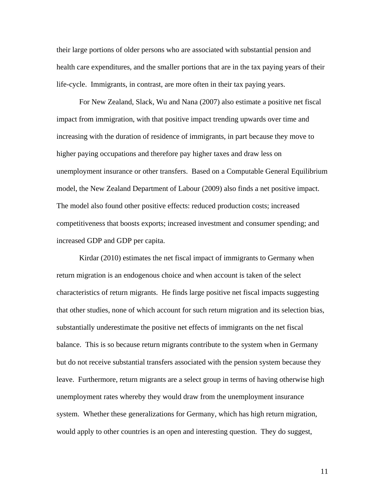their large portions of older persons who are associated with substantial pension and health care expenditures, and the smaller portions that are in the tax paying years of their life-cycle. Immigrants, in contrast, are more often in their tax paying years.

For New Zealand, Slack, Wu and Nana (2007) also estimate a positive net fiscal impact from immigration, with that positive impact trending upwards over time and increasing with the duration of residence of immigrants, in part because they move to higher paying occupations and therefore pay higher taxes and draw less on unemployment insurance or other transfers. Based on a Computable General Equilibrium model, the New Zealand Department of Labour (2009) also finds a net positive impact. The model also found other positive effects: reduced production costs; increased competitiveness that boosts exports; increased investment and consumer spending; and increased GDP and GDP per capita.

Kirdar (2010) estimates the net fiscal impact of immigrants to Germany when return migration is an endogenous choice and when account is taken of the select characteristics of return migrants. He finds large positive net fiscal impacts suggesting that other studies, none of which account for such return migration and its selection bias, substantially underestimate the positive net effects of immigrants on the net fiscal balance. This is so because return migrants contribute to the system when in Germany but do not receive substantial transfers associated with the pension system because they leave. Furthermore, return migrants are a select group in terms of having otherwise high unemployment rates whereby they would draw from the unemployment insurance system. Whether these generalizations for Germany, which has high return migration, would apply to other countries is an open and interesting question. They do suggest,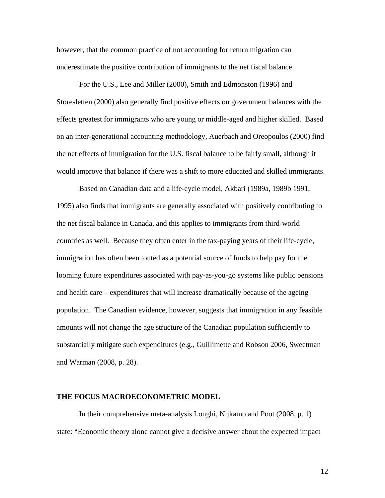however, that the common practice of not accounting for return migration can underestimate the positive contribution of immigrants to the net fiscal balance.

For the U.S., Lee and Miller (2000), Smith and Edmonston (1996) and Storesletten (2000) also generally find positive effects on government balances with the effects greatest for immigrants who are young or middle-aged and higher skilled. Based on an inter-generational accounting methodology, Auerbach and Oreopoulos (2000) find the net effects of immigration for the U.S. fiscal balance to be fairly small, although it would improve that balance if there was a shift to more educated and skilled immigrants.

Based on Canadian data and a life-cycle model, Akbari (1989a, 1989b 1991, 1995) also finds that immigrants are generally associated with positively contributing to the net fiscal balance in Canada, and this applies to immigrants from third-world countries as well. Because they often enter in the tax-paying years of their life-cycle, immigration has often been touted as a potential source of funds to help pay for the looming future expenditures associated with pay-as-you-go systems like public pensions and health care – expenditures that will increase dramatically because of the ageing population. The Canadian evidence, however, suggests that immigration in any feasible amounts will not change the age structure of the Canadian population sufficiently to substantially mitigate such expenditures (e.g., Guillimette and Robson 2006, Sweetman and Warman (2008, p. 28).

#### **THE FOCUS MACROECONOMETRIC MODEL**

In their comprehensive meta-analysis Longhi, Nijkamp and Poot (2008, p. 1) state: "Economic theory alone cannot give a decisive answer about the expected impact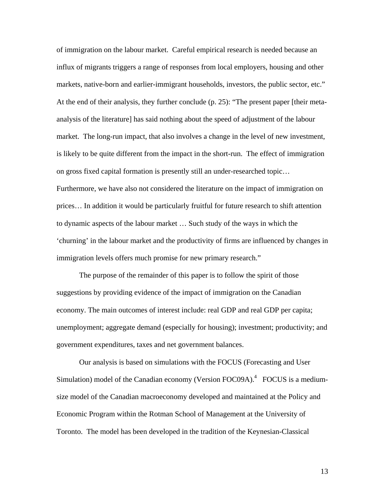of immigration on the labour market. Careful empirical research is needed because an influx of migrants triggers a range of responses from local employers, housing and other markets, native-born and earlier-immigrant households, investors, the public sector, etc." At the end of their analysis, they further conclude (p. 25): "The present paper [their metaanalysis of the literature] has said nothing about the speed of adjustment of the labour market. The long-run impact, that also involves a change in the level of new investment, is likely to be quite different from the impact in the short-run. The effect of immigration on gross fixed capital formation is presently still an under-researched topic… Furthermore, we have also not considered the literature on the impact of immigration on prices… In addition it would be particularly fruitful for future research to shift attention to dynamic aspects of the labour market … Such study of the ways in which the 'churning' in the labour market and the productivity of firms are influenced by changes in immigration levels offers much promise for new primary research."

The purpose of the remainder of this paper is to follow the spirit of those suggestions by providing evidence of the impact of immigration on the Canadian economy. The main outcomes of interest include: real GDP and real GDP per capita; unemployment; aggregate demand (especially for housing); investment; productivity; and government expenditures, taxes and net government balances.

Our analysis is based on simulations with the FOCUS (Forecasting and User Simulation) model of the Canadian economy (Version FOC09A). $4$  FOCUS is a mediumsize model of the Canadian macroeconomy developed and maintained at the Policy and Economic Program within the Rotman School of Management at the University of Toronto. The model has been developed in the tradition of the Keynesian-Classical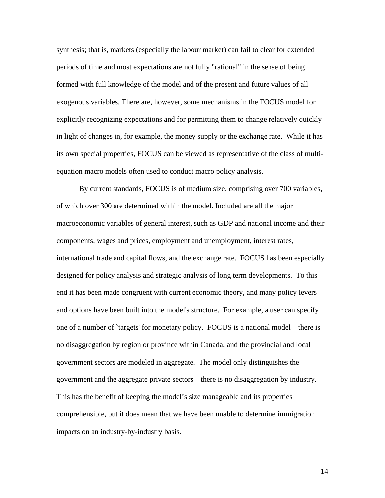synthesis; that is, markets (especially the labour market) can fail to clear for extended periods of time and most expectations are not fully "rational" in the sense of being formed with full knowledge of the model and of the present and future values of all exogenous variables. There are, however, some mechanisms in the FOCUS model for explicitly recognizing expectations and for permitting them to change relatively quickly in light of changes in, for example, the money supply or the exchange rate. While it has its own special properties, FOCUS can be viewed as representative of the class of multiequation macro models often used to conduct macro policy analysis.

By current standards, FOCUS is of medium size, comprising over 700 variables, of which over 300 are determined within the model. Included are all the major macroeconomic variables of general interest, such as GDP and national income and their components, wages and prices, employment and unemployment, interest rates, international trade and capital flows, and the exchange rate. FOCUS has been especially designed for policy analysis and strategic analysis of long term developments. To this end it has been made congruent with current economic theory, and many policy levers and options have been built into the model's structure. For example, a user can specify one of a number of `targets' for monetary policy. FOCUS is a national model – there is no disaggregation by region or province within Canada, and the provincial and local government sectors are modeled in aggregate. The model only distinguishes the government and the aggregate private sectors – there is no disaggregation by industry. This has the benefit of keeping the model's size manageable and its properties comprehensible, but it does mean that we have been unable to determine immigration impacts on an industry-by-industry basis.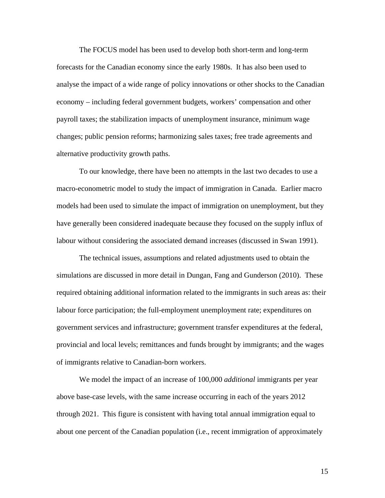The FOCUS model has been used to develop both short-term and long-term forecasts for the Canadian economy since the early 1980s. It has also been used to analyse the impact of a wide range of policy innovations or other shocks to the Canadian economy – including federal government budgets, workers' compensation and other payroll taxes; the stabilization impacts of unemployment insurance, minimum wage changes; public pension reforms; harmonizing sales taxes; free trade agreements and alternative productivity growth paths.

To our knowledge, there have been no attempts in the last two decades to use a macro-econometric model to study the impact of immigration in Canada. Earlier macro models had been used to simulate the impact of immigration on unemployment, but they have generally been considered inadequate because they focused on the supply influx of labour without considering the associated demand increases (discussed in Swan 1991).

The technical issues, assumptions and related adjustments used to obtain the simulations are discussed in more detail in Dungan, Fang and Gunderson (2010). These required obtaining additional information related to the immigrants in such areas as: their labour force participation; the full-employment unemployment rate; expenditures on government services and infrastructure; government transfer expenditures at the federal, provincial and local levels; remittances and funds brought by immigrants; and the wages of immigrants relative to Canadian-born workers.

We model the impact of an increase of 100,000 *additional* immigrants per year above base-case levels, with the same increase occurring in each of the years 2012 through 2021. This figure is consistent with having total annual immigration equal to about one percent of the Canadian population (i.e., recent immigration of approximately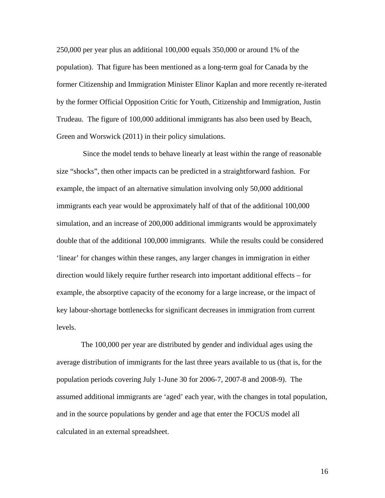250,000 per year plus an additional 100,000 equals 350,000 or around 1% of the population). That figure has been mentioned as a long-term goal for Canada by the former Citizenship and Immigration Minister Elinor Kaplan and more recently re-iterated by the former Official Opposition Critic for Youth, Citizenship and Immigration, Justin Trudeau. The figure of 100,000 additional immigrants has also been used by Beach, Green and Worswick (2011) in their policy simulations.

 Since the model tends to behave linearly at least within the range of reasonable size "shocks", then other impacts can be predicted in a straightforward fashion. For example, the impact of an alternative simulation involving only 50,000 additional immigrants each year would be approximately half of that of the additional 100,000 simulation, and an increase of 200,000 additional immigrants would be approximately double that of the additional 100,000 immigrants. While the results could be considered 'linear' for changes within these ranges, any larger changes in immigration in either direction would likely require further research into important additional effects – for example, the absorptive capacity of the economy for a large increase, or the impact of key labour-shortage bottlenecks for significant decreases in immigration from current levels.

 The 100,000 per year are distributed by gender and individual ages using the average distribution of immigrants for the last three years available to us (that is, for the population periods covering July 1-June 30 for 2006-7, 2007-8 and 2008-9). The assumed additional immigrants are 'aged' each year, with the changes in total population, and in the source populations by gender and age that enter the FOCUS model all calculated in an external spreadsheet.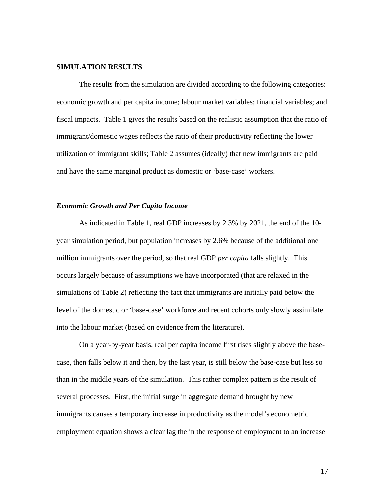#### **SIMULATION RESULTS**

The results from the simulation are divided according to the following categories: economic growth and per capita income; labour market variables; financial variables; and fiscal impacts. Table 1 gives the results based on the realistic assumption that the ratio of immigrant/domestic wages reflects the ratio of their productivity reflecting the lower utilization of immigrant skills; Table 2 assumes (ideally) that new immigrants are paid and have the same marginal product as domestic or 'base-case' workers.

#### *Economic Growth and Per Capita Income*

As indicated in Table 1, real GDP increases by 2.3% by 2021, the end of the 10 year simulation period, but population increases by 2.6% because of the additional one million immigrants over the period, so that real GDP *per capita* falls slightly. This occurs largely because of assumptions we have incorporated (that are relaxed in the simulations of Table 2) reflecting the fact that immigrants are initially paid below the level of the domestic or 'base-case' workforce and recent cohorts only slowly assimilate into the labour market (based on evidence from the literature).

On a year-by-year basis, real per capita income first rises slightly above the basecase, then falls below it and then, by the last year, is still below the base-case but less so than in the middle years of the simulation. This rather complex pattern is the result of several processes. First, the initial surge in aggregate demand brought by new immigrants causes a temporary increase in productivity as the model's econometric employment equation shows a clear lag the in the response of employment to an increase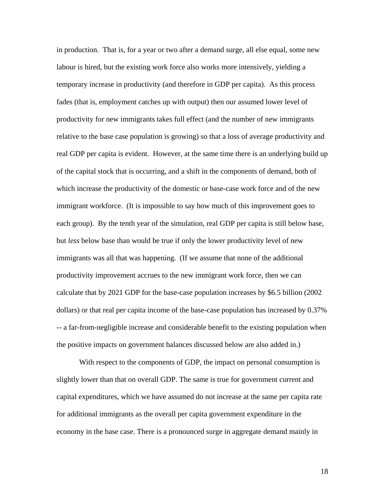in production. That is, for a year or two after a demand surge, all else equal, some new labour is hired, but the existing work force also works more intensively, yielding a temporary increase in productivity (and therefore in GDP per capita). As this process fades (that is, employment catches up with output) then our assumed lower level of productivity for new immigrants takes full effect (and the number of new immigrants relative to the base case population is growing) so that a loss of average productivity and real GDP per capita is evident. However, at the same time there is an underlying build up of the capital stock that is occurring, and a shift in the components of demand, both of which increase the productivity of the domestic or base-case work force and of the new immigrant workforce. (It is impossible to say how much of this improvement goes to each group). By the tenth year of the simulation, real GDP per capita is still below base, but *less* below base than would be true if only the lower productivity level of new immigrants was all that was happening. (If we assume that none of the additional productivity improvement accrues to the new immigrant work force, then we can calculate that by 2021 GDP for the base-case population increases by \$6.5 billion (2002 dollars) or that real per capita income of the base-case population has increased by 0.37% -- a far-from-negligible increase and considerable benefit to the existing population when the positive impacts on government balances discussed below are also added in.)

With respect to the components of GDP, the impact on personal consumption is slightly lower than that on overall GDP. The same is true for government current and capital expenditures, which we have assumed do not increase at the same per capita rate for additional immigrants as the overall per capita government expenditure in the economy in the base case. There is a pronounced surge in aggregate demand mainly in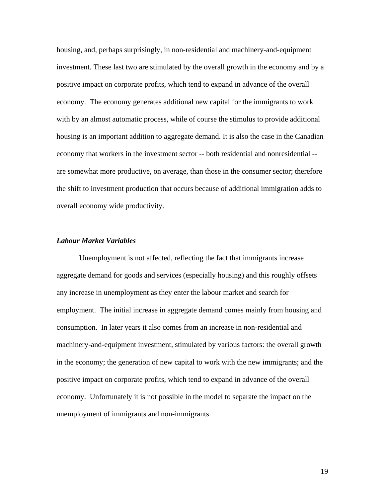housing, and, perhaps surprisingly, in non-residential and machinery-and-equipment investment. These last two are stimulated by the overall growth in the economy and by a positive impact on corporate profits, which tend to expand in advance of the overall economy. The economy generates additional new capital for the immigrants to work with by an almost automatic process, while of course the stimulus to provide additional housing is an important addition to aggregate demand. It is also the case in the Canadian economy that workers in the investment sector -- both residential and nonresidential - are somewhat more productive, on average, than those in the consumer sector; therefore the shift to investment production that occurs because of additional immigration adds to overall economy wide productivity.

#### *Labour Market Variables*

Unemployment is not affected, reflecting the fact that immigrants increase aggregate demand for goods and services (especially housing) and this roughly offsets any increase in unemployment as they enter the labour market and search for employment. The initial increase in aggregate demand comes mainly from housing and consumption. In later years it also comes from an increase in non-residential and machinery-and-equipment investment, stimulated by various factors: the overall growth in the economy; the generation of new capital to work with the new immigrants; and the positive impact on corporate profits, which tend to expand in advance of the overall economy. Unfortunately it is not possible in the model to separate the impact on the unemployment of immigrants and non-immigrants.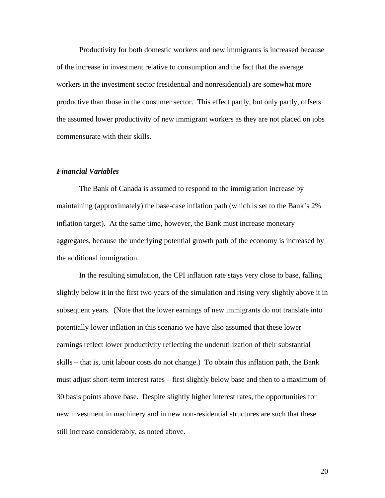Productivity for both domestic workers and new immigrants is increased because of the increase in investment relative to consumption and the fact that the average workers in the investment sector (residential and nonresidential) are somewhat more productive than those in the consumer sector. This effect partly, but only partly, offsets the assumed lower productivity of new immigrant workers as they are not placed on jobs commensurate with their skills.

#### *Financial Variables*

The Bank of Canada is assumed to respond to the immigration increase by maintaining (approximately) the base-case inflation path (which is set to the Bank's 2% inflation target). At the same time, however, the Bank must increase monetary aggregates, because the underlying potential growth path of the economy is increased by the additional immigration.

In the resulting simulation, the CPI inflation rate stays very close to base, falling slightly below it in the first two years of the simulation and rising very slightly above it in subsequent years. (Note that the lower earnings of new immigrants do not translate into potentially lower inflation in this scenario we have also assumed that these lower earnings reflect lower productivity reflecting the underutilization of their substantial skills – that is, unit labour costs do not change.) To obtain this inflation path, the Bank must adjust short-term interest rates – first slightly below base and then to a maximum of 30 basis points above base. Despite slightly higher interest rates, the opportunities for new investment in machinery and in new non-residential structures are such that these still increase considerably, as noted above.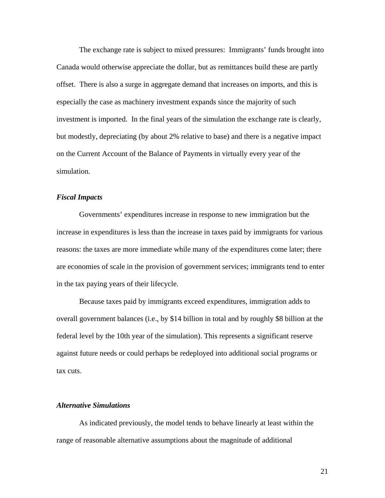The exchange rate is subject to mixed pressures: Immigrants' funds brought into Canada would otherwise appreciate the dollar, but as remittances build these are partly offset. There is also a surge in aggregate demand that increases on imports, and this is especially the case as machinery investment expands since the majority of such investment is imported. In the final years of the simulation the exchange rate is clearly, but modestly, depreciating (by about 2% relative to base) and there is a negative impact on the Current Account of the Balance of Payments in virtually every year of the simulation.

#### *Fiscal Impacts*

Governments' expenditures increase in response to new immigration but the increase in expenditures is less than the increase in taxes paid by immigrants for various reasons: the taxes are more immediate while many of the expenditures come later; there are economies of scale in the provision of government services; immigrants tend to enter in the tax paying years of their lifecycle.

Because taxes paid by immigrants exceed expenditures, immigration adds to overall government balances (i.e., by \$14 billion in total and by roughly \$8 billion at the federal level by the 10th year of the simulation). This represents a significant reserve against future needs or could perhaps be redeployed into additional social programs or tax cuts.

#### *Alternative Simulations*

As indicated previously, the model tends to behave linearly at least within the range of reasonable alternative assumptions about the magnitude of additional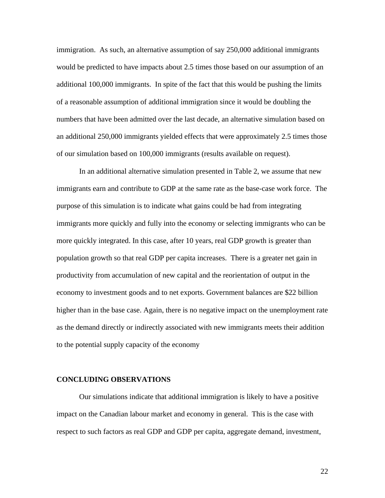immigration. As such, an alternative assumption of say 250,000 additional immigrants would be predicted to have impacts about 2.5 times those based on our assumption of an additional 100,000 immigrants. In spite of the fact that this would be pushing the limits of a reasonable assumption of additional immigration since it would be doubling the numbers that have been admitted over the last decade, an alternative simulation based on an additional 250,000 immigrants yielded effects that were approximately 2.5 times those of our simulation based on 100,000 immigrants (results available on request).

In an additional alternative simulation presented in Table 2, we assume that new immigrants earn and contribute to GDP at the same rate as the base-case work force. The purpose of this simulation is to indicate what gains could be had from integrating immigrants more quickly and fully into the economy or selecting immigrants who can be more quickly integrated. In this case, after 10 years, real GDP growth is greater than population growth so that real GDP per capita increases. There is a greater net gain in productivity from accumulation of new capital and the reorientation of output in the economy to investment goods and to net exports. Government balances are \$22 billion higher than in the base case. Again, there is no negative impact on the unemployment rate as the demand directly or indirectly associated with new immigrants meets their addition to the potential supply capacity of the economy

#### **CONCLUDING OBSERVATIONS**

Our simulations indicate that additional immigration is likely to have a positive impact on the Canadian labour market and economy in general. This is the case with respect to such factors as real GDP and GDP per capita, aggregate demand, investment,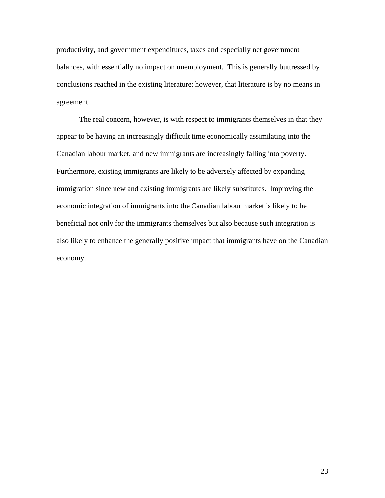productivity, and government expenditures, taxes and especially net government balances, with essentially no impact on unemployment. This is generally buttressed by conclusions reached in the existing literature; however, that literature is by no means in agreement.

The real concern, however, is with respect to immigrants themselves in that they appear to be having an increasingly difficult time economically assimilating into the Canadian labour market, and new immigrants are increasingly falling into poverty. Furthermore, existing immigrants are likely to be adversely affected by expanding immigration since new and existing immigrants are likely substitutes. Improving the economic integration of immigrants into the Canadian labour market is likely to be beneficial not only for the immigrants themselves but also because such integration is also likely to enhance the generally positive impact that immigrants have on the Canadian economy.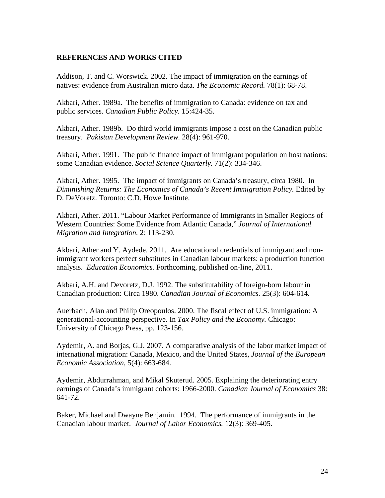### **REFERENCES AND WORKS CITED**

Addison, T. and C. Worswick. 2002. The impact of immigration on the earnings of natives: evidence from Australian micro data. *The Economic Record.* 78(1): 68-78.

Akbari, Ather. 1989a. The benefits of immigration to Canada: evidence on tax and public services. *Canadian Public Policy.* 15:424-35.

Akbari, Ather. 1989b. Do third world immigrants impose a cost on the Canadian public treasury. *Pakistan Development Review.* 28(4): 961-970.

Akbari, Ather. 1991. The public finance impact of immigrant population on host nations: some Canadian evidence. *Social Science Quarterly.* 71(2): 334-346.

Akbari, Ather. 1995. The impact of immigrants on Canada's treasury, circa 1980. In *Diminishing Returns: The Economics of Canada's Recent Immigration Policy.* Edited by D. DeVoretz. Toronto: C.D. Howe Institute.

Akbari, Ather. 2011. "Labour Market Performance of Immigrants in Smaller Regions of Western Countries: Some Evidence from Atlantic Canada," *Journal of International Migration and Integration.* 2: 113-230.

Akbari, Ather and Y. Aydede. 2011. Are educational credentials of immigrant and nonimmigrant workers perfect substitutes in Canadian labour markets: a production function analysis. *Education Economics.* Forthcoming, published on-line, 2011.

Akbari, A.H. and Devoretz, D.J. 1992. The substitutability of foreign-born labour in Canadian production: Circa 1980. *Canadian Journal of Economics.* 25(3): 604-614.

Auerbach, Alan and Philip Oreopoulos. 2000. The fiscal effect of U.S. immigration: A generational-accounting perspective. In *Tax Policy and the Economy.* Chicago: University of Chicago Press, pp. 123-156.

Aydemir, A. and Borjas, G.J. 2007. A comparative analysis of the labor market impact of international migration: Canada, Mexico, and the United States, *Journal of the European Economic Association,* 5(4): 663-684.

Aydemir, Abdurrahman, and Mikal Skuterud. 2005. Explaining the deteriorating entry earnings of Canada's immigrant cohorts: 1966-2000. *Canadian Journal of Economics* 38: 641-72.

Baker, Michael and Dwayne Benjamin. 1994. The performance of immigrants in the Canadian labour market. *Journal of Labor Economics.* 12(3): 369-405.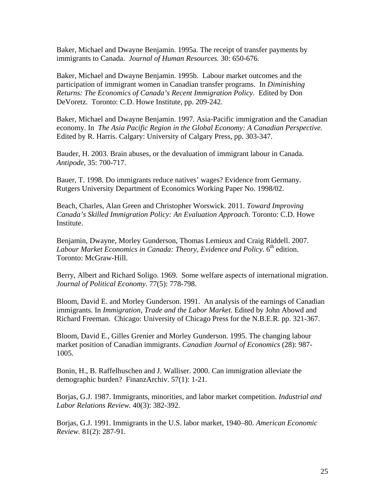Baker, Michael and Dwayne Benjamin. 1995a. The receipt of transfer payments by immigrants to Canada. *Journal of Human Resources.* 30: 650-676.

Baker, Michael and Dwayne Benjamin. 1995b. Labour market outcomes and the participation of immigrant women in Canadian transfer programs. In *Diminishing Returns: The Economics of Canada's Recent Immigration Policy.* Edited by Don DeVoretz. Toronto: C.D. Howe Institute, pp. 209-242.

Baker, Michael and Dwayne Benjamin. 1997. Asia-Pacific immigration and the Canadian economy. In *The Asia Pacific Region in the Global Economy: A Canadian Perspective.* Edited by R. Harris. Calgary: University of Calgary Press, pp. 303-347.

Bauder, H. 2003. Brain abuses, or the devaluation of immigrant labour in Canada*. Antipode*, 35: 700-717.

Bauer, T. 1998. Do immigrants reduce natives' wages? Evidence from Germany. Rutgers University Department of Economics Working Paper No. 1998/02.

Beach, Charles, Alan Green and Christopher Worswick. 2011. *Toward Improving Canada's Skilled Immigration Policy: An Evaluation Approach.* Toronto: C.D. Howe Institute.

Benjamin, Dwayne, Morley Gunderson, Thomas Lemieux and Craig Riddell. 2007. *Labour Market Economics in Canada: Theory, Evidence and Policy.* 6<sup>th</sup> edition. Toronto: McGraw-Hill.

Berry, Albert and Richard Soligo. 1969. Some welfare aspects of international migration. *Journal of Political Economy.* 77(5): 778-798.

Bloom, David E. and Morley Gunderson. 1991. An analysis of the earnings of Canadian immigrants. In *Immigration, Trade and the Labor Market*. Edited by John Abowd and Richard Freeman. Chicago: University of Chicago Press for the N.B.E.R. pp. 321-367.

Bloom, David E., Gilles Grenier and Morley Gunderson. 1995. The changing labour market position of Canadian immigrants. *Canadian Journal of Economics* (28): 987- 1005.

Bonin, H., B. Raffelhuschen and J. Walliser. 2000. Can immigration alleviate the demographic burden? FinanzArchiv. 57(1): 1-21.

Borjas, G.J. 1987. Immigrants, minorities, and labor market competition. *Industrial and Labor Relations Review.* 40(3): 382-392.

Borjas, G.J. 1991. Immigrants in the U.S. labor market, 1940–80. *American Economic Review.* 81(2): 287-91.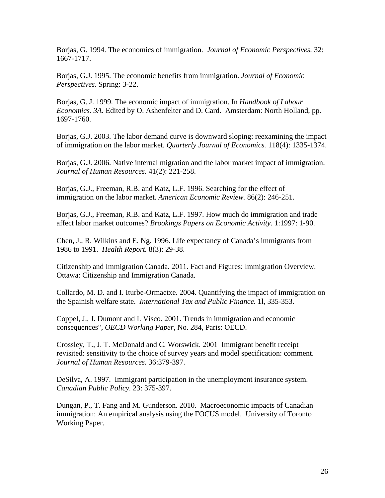Borjas, G. 1994. The economics of immigration. *Journal of Economic Perspectives.* 32: 1667-1717.

Borjas, G.J. 1995. The economic benefits from immigration. *Journal of Economic Perspectives.* Spring: 3-22.

Borjas, G. J. 1999. The economic impact of immigration. In *Handbook of Labour Economics. 3A.* Edited by O. Ashenfelter and D. Card. Amsterdam: North Holland, pp. 1697-1760.

Borjas, G.J. 2003. The labor demand curve is downward sloping: reexamining the impact of immigration on the labor market. *Quarterly Journal of Economics.* 118(4): 1335-1374.

Borjas, G.J. 2006. Native internal migration and the labor market impact of immigration. *Journal of Human Resources.* 41(2): 221-258.

Borjas, G.J., Freeman, R.B. and Katz, L.F. 1996. Searching for the effect of immigration on the labor market. *American Economic Review.* 86(2): 246-251.

Borjas, G.J., Freeman, R.B. and Katz, L.F. 1997. How much do immigration and trade affect labor market outcomes? *Brookings Papers on Economic Activity.* 1:1997: 1-90.

Chen, J., R. Wilkins and E. Ng. 1996. Life expectancy of Canada's immigrants from 1986 to 1991. *Health Report.* 8(3): 29-38.

Citizenship and Immigration Canada. 2011. Fact and Figures: Immigration Overview. Ottawa: Citizenship and Immigration Canada.

Collardo, M. D. and I. Iturbe-Ormaetxe. 2004. Quantifying the impact of immigration on the Spainish welfare state. *International Tax and Public Finance.* 1l, 335-353.

Coppel, J., J. Dumont and I. Visco. 2001. Trends in immigration and economic consequences", *OECD Working Paper*, No. 284, Paris: OECD.

Crossley, T., J. T. McDonald and C. Worswick. 2001 Immigrant benefit receipt revisited: sensitivity to the choice of survey years and model specification: comment. *Journal of Human Resources.* 36:379-397.

DeSilva, A. 1997. Immigrant participation in the unemployment insurance system. *Canadian Public Policy.* 23: 375-397.

Dungan, P., T. Fang and M. Gunderson. 2010. Macroeconomic impacts of Canadian immigration: An empirical analysis using the FOCUS model. University of Toronto Working Paper.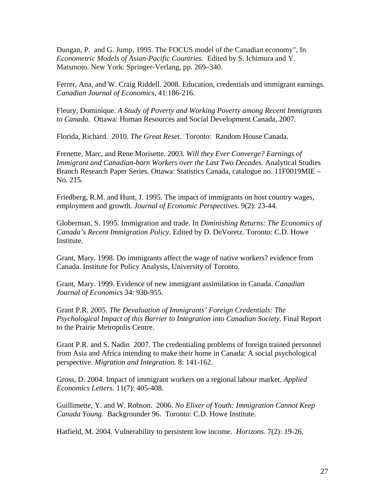Dungan, P. and G. Jump, 1995. The FOCUS model of the Canadian economy", In *Econometric Models of Asian-Pacific Countries.* Edited by S. Ichimura and Y. Matsmoto. New York: Springer-Verlang, pp. 269–340.

Ferrer, Ana, and W. Craig Riddell. 2008. Education, credentials and immigrant earnings. *Canadian Journal of Economics,* 41:186-216.

Fleury, Dominique. *A Study of Poverty and Working Poverty among Recent Immigrants to Canada.* Ottawa: Human Resources and Social Development Canada, 2007.

Florida, Richard. 2010. *The Great Reset*. Toronto: Random House Canada.

Frenette, Marc, and Rene Morisette. 2003. *Will they Ever Converge? Earnings of Immigrant and Canadian-born Workers over the Last Two Decades.* Analytical Studies Branch Research Paper Series*.* Ottawa: Statistics Canada, catalogue no. 11F0019MIE – No. 215.

Friedberg, R.M. and Hunt, J. 1995. The impact of immigrants on host country wages, employment and growth. *Journal of Economic Perspectives.* 9(2): 23-44.

Globerman, S. 1995. Immigration and trade. In *Diminishing Returns: The Economics of Canada's Recent Immigration Policy.* Edited by D. DeVoretz. Toronto: C.D. Howe Institute.

Grant, Mary. 1998. Do immigrants affect the wage of native workers? evidence from Canada. Institute for Policy Analysis, University of Toronto.

Grant, Mary. 1999. Evidence of new immigrant assimilation in Canada. *Canadian Journal of Economics* 34: 930-955.

Grant P.R. 2005. *The Devaluation of Immigrants' Foreign Credentials: The Psychological Impact of this Barrier to Integration into Canadian Society.* Final Report to the Prairie Metropolis Centre.

Grant P.R. and S. Nadin 2007. The credentialing problems of foreign trained personnel from Asia and Africa intending to make their home in Canada: A social psychological perspective. *Migration and Integration.* 8: 141-162.

Gross, D. 2004. Impact of immigrant workers on a regional labour market. *Applied Economics Letters.* 11(7): 405-408.

Guillimette, Y. and W. Robson. 2006. *No Elixer of Youth: Immigration Cannot Keep Canada Young.* Backgrounder 96. Toronto: C.D. Howe Institute.

Hatfield, M. 2004. Vulnerability to persistent low income. *Horizons.* 7(2): 19-26.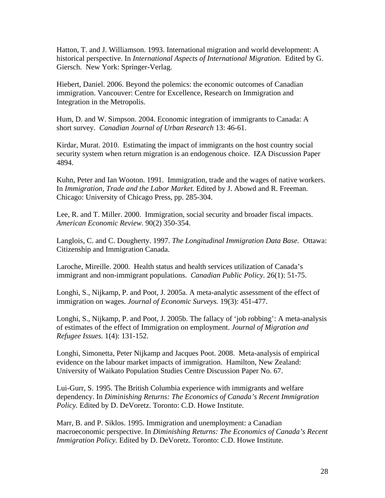Hatton, T. and J. Williamson. 1993. International migration and world development: A historical perspective. In *International Aspects of International Migration.* Edited by G. Giersch. New York: Springer-Verlag.

Hiebert, Daniel. 2006. Beyond the polemics: the economic outcomes of Canadian immigration. Vancouver: Centre for Excellence, Research on Immigration and Integration in the Metropolis.

Hum, D. and W. Simpson. 2004. Economic integration of immigrants to Canada: A short survey. *Canadian Journal of Urban Research* 13: 46-61.

Kirdar, Murat. 2010. Estimating the impact of immigrants on the host country social security system when return migration is an endogenous choice. IZA Discussion Paper 4894.

Kuhn, Peter and Ian Wooton. 1991. Immigration, trade and the wages of native workers. In *Immigration, Trade and the Labor Market.* Edited by J. Abowd and R. Freeman. Chicago: University of Chicago Press, pp. 285-304.

Lee, R. and T. Miller. 2000. Immigration, social security and broader fiscal impacts. *American Economic Review.* 90(2) 350-354.

Langlois, C. and C. Dougherty. 1997. *The Longitudinal Immigration Data Base.* Ottawa: Citizenship and Immigration Canada.

Laroche, Mireille. 2000. Health status and health services utilization of Canada's immigrant and non-immigrant populations. *Canadian Public Policy.* 26(1): 51-75.

Longhi, S., Nijkamp, P. and Poot, J. 2005a. A meta-analytic assessment of the effect of immigration on wages. *Journal of Economic Surveys.* 19(3): 451-477.

Longhi, S., Nijkamp, P. and Poot, J. 2005b. The fallacy of 'job robbing': A meta-analysis of estimates of the effect of Immigration on employment. *Journal of Migration and Refugee Issues.* 1(4): 131-152.

Longhi, Simonetta, Peter Nijkamp and Jacques Poot. 2008. Meta-analysis of empirical evidence on the labour market impacts of immigration. Hamilton, New Zealand: University of Waikato Population Studies Centre Discussion Paper No. 67.

Lui-Gurr, S. 1995. The British Columbia experience with immigrants and welfare dependency. In *Diminishing Returns: The Economics of Canada's Recent Immigration Policy.* Edited by D. DeVoretz. Toronto: C.D. Howe Institute.

Marr, B. and P. Siklos. 1995. Immigration and unemployment: a Canadian macroeconomic perspective. In *Diminishing Returns: The Economics of Canada's Recent Immigration Policy.* Edited by D. DeVoretz. Toronto: C.D. Howe Institute.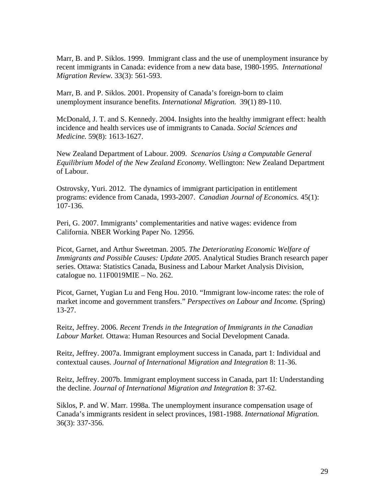Marr, B. and P. Siklos. 1999. Immigrant class and the use of unemployment insurance by recent immigrants in Canada: evidence from a new data base, 1980-1995. *International Migration Review.* 33(3): 561-593.

Marr, B. and P. Siklos. 2001. Propensity of Canada's foreign-born to claim unemployment insurance benefits. *International Migration.* 39(1) 89-110.

McDonald, J. T. and S. Kennedy. 2004. Insights into the healthy immigrant effect: health incidence and health services use of immigrants to Canada. *Social Sciences and Medicine.* 59(8): 1613-1627.

New Zealand Department of Labour. 2009. *Scenarios Using a Computable General Equilibrium Model of the New Zealand Economy.* Wellington: New Zealand Department of Labour.

Ostrovsky, Yuri. 2012. The dynamics of immigrant participation in entitlement programs: evidence from Canada, 1993-2007. *Canadian Journal of Economics.* 45(1): 107-136.

Peri, G. 2007. Immigrants' complementarities and native wages: evidence from California. NBER Working Paper No. 12956.

Picot, Garnet, and Arthur Sweetman. 2005. *The Deteriorating Economic Welfare of Immigrants and Possible Causes: Update 2005.* Analytical Studies Branch research paper series. Ottawa: Statistics Canada, Business and Labour Market Analysis Division, catalogue no. 11F0019MIE – No. 262.

Picot, Garnet, Yugian Lu and Feng Hou. 2010. "Immigrant low-income rates: the role of market income and government transfers." *Perspectives on Labour and Income.* (Spring) 13-27.

Reitz, Jeffrey. 2006. *Recent Trends in the Integration of Immigrants in the Canadian Labour Market.* Ottawa: Human Resources and Social Development Canada.

Reitz, Jeffrey. 2007a. Immigrant employment success in Canada, part 1: Individual and contextual causes. *Journal of International Migration and Integration* 8: 11-36.

Reitz, Jeffrey. 2007b. Immigrant employment success in Canada, part 1I: Understanding the decline. *Journal of International Migration and Integration* 8: 37-62.

Siklos, P. and W. Marr. 1998a. The unemployment insurance compensation usage of Canada's immigrants resident in select provinces, 1981-1988. *International Migration.* 36(3): 337-356.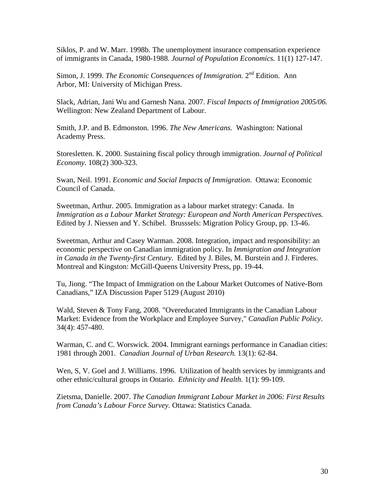Siklos, P. and W. Marr. 1998b. The unemployment insurance compensation experience of immigrants in Canada, 1980-1988. *Journal of Population Economics.* 11(1) 127-147.

Simon, J. 1999. *The Economic Consequences of Immigration.* 2nd Edition. Ann Arbor, MI: University of Michigan Press.

Slack, Adrian, Jani Wu and Garnesh Nana. 2007. *Fiscal Impacts of Immigration 2005/06.* Wellington: New Zealand Department of Labour.

Smith, J.P. and B. Edmonston. 1996. *The New Americans.* Washington: National Academy Press.

Storesletten. K. 2000. Sustaining fiscal policy through immigration. *Journal of Political Economy.* 108(2) 300-323.

Swan, Neil. 1991. *Economic and Social Impacts of Immigration*. Ottawa: Economic Council of Canada.

Sweetman, Arthur. 2005. Immigration as a labour market strategy: Canada. In *Immigration as a Labour Market Strategy: European and North American Perspectives.* Edited by J. Niessen and Y. Schibel. Brusssels: Migration Policy Group, pp. 13-46.

Sweetman, Arthur and Casey Warman. 2008. Integration, impact and responsibility: an economic perspective on Canadian immigration policy. In *Immigration and Integration in Canada in the Twenty-first Century.* Edited by J. Biles, M. Burstein and J. Firderes. Montreal and Kingston: McGill-Queens University Press, pp. 19-44.

Tu, Jiong. "The Impact of Immigration on the Labour Market Outcomes of Native-Born Canadians," IZA Discussion Paper 5129 (August 2010)

Wald, Steven & Tony Fang, 2008. "Overeducated Immigrants in the Canadian Labour Market: Evidence from the Workplace and Employee Survey," *Canadian Public Policy*. 34(4): 457-480.

Warman, C. and C. Worswick. 2004. Immigrant earnings performance in Canadian cities: 1981 through 2001. *Canadian Journal of Urban Research.* 13(1): 62-84.

Wen, S, V. Goel and J. Williams. 1996. Utilization of health services by immigrants and other ethnic/cultural groups in Ontario. *Ethnicity and Health.* 1(1): 99-109.

Zietsma, Danielle. 2007. *The Canadian Immigrant Labour Market in 2006: First Results from Canada's Labour Force Survey.* Ottawa: Statistics Canada.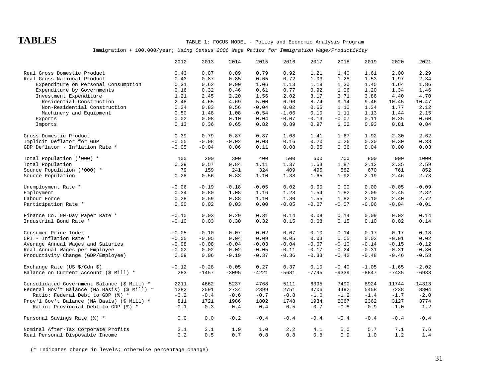### **TABLES** TABLE 1: FOCUS MODEL - Policy and Economic Analysis Program

#### Immigration + 100,000/year; *Using Census 2006 Wage Ratios for Immigration Wage/Productivity*

|                                                      | 2012    | 2013    | 2014    | 2015    | 2016    | 2017    | 2018    | 2019    | 2020    | 2021    |
|------------------------------------------------------|---------|---------|---------|---------|---------|---------|---------|---------|---------|---------|
| Real Gross Domestic Product                          | 0.43    | 0.87    | 0.89    | 0.79    | 0.92    | 1.21    | 1.40    | 1.61    | 2.00    | 2.29    |
| Real Gross National Product                          | 0.43    | 0.87    | 0.85    | 0.65    | 0.72    | 1.03    | 1.28    | 1.53    | 1.97    | 2.34    |
| Expenditure on Personal Consumption                  | 0.31    | 0.62    | 0.90    | 1.06    | 1.13    | 1.19    | 1.30    | 1.45    | 1.64    | 1.86    |
| Expenditure by Governments                           | 0.16    | 0.32    | 0.46    | 0.61    | 0.77    | 0.92    | 1.06    | 1.20    | 1.34    | 1.46    |
| Investment Expenditure                               | 1.21    | 2.45    | 2.20    | 1.56    | 2.02    | 3.17    | 3.71    | 3.86    | 4.40    | 4.70    |
| Residential Construction                             | 2.48    | 4.65    | 4.69    | 5.00    | 6.90    | 8.74    | 9.14    | 9.46    | 10.45   | 10.47   |
| Non-Residential Construction                         | 0.34    | 0.83    | 0.56    | $-0.04$ | 0.02    | 0.65    | 1.10    | 1.34    | 1.77    | 2.12    |
| Machinery and Equipment                              | 0.50    | 1.48    | 1.08    | $-0.54$ | $-1.06$ | 0.10    | 1.11    | 1.13    | 1.44    | 2.15    |
| Exports                                              | 0.02    | 0.08    | 0.10    | 0.04    | $-0.07$ | $-0.13$ | $-0.07$ | 0.11    | 0.35    | 0.60    |
| Imports                                              | 0.13    | 0.36    | 0.65    | 0.82    | 0.89    | 0.97    | 1.02    | 0.93    | 0.81    | 0.84    |
|                                                      |         |         |         |         |         |         |         |         |         |         |
| Gross Domestic Product                               | 0.39    | 0.79    | 0.87    | 0.87    | 1.08    | 1.41    | 1.67    | 1.92    | 2.30    | 2.62    |
| Implicit Deflator for GDP                            | $-0.05$ | $-0.08$ | $-0.02$ | 0.08    | 0.16    | 0.20    | 0.26    | 0.30    | 0.30    | 0.33    |
| GDP Deflator - Inflation Rate *                      | $-0.05$ | $-0.04$ | 0.06    | 0.11    | 0.08    | 0.05    | 0.06    | 0.04    | 0.00    | 0.03    |
| Total Population ('000) *                            | 100     | 200     | 300     | 400     | 500     | 600     | 700     | 800     | 900     | 1000    |
| Total Population                                     | 0.29    | 0.57    | 0.84    | 1.11    | 1.37    | 1.63    | 1.87    | 2.12    | 2.35    | 2.59    |
| Source Population ('000) *                           | 79      | 159     | 241     | 324     | 409     | 495     | 582     | 670     | 761     | 852     |
| Source Population                                    | 0.28    | 0.56    | 0.83    | 1.10    | 1.38    | 1.65    | 1.92    | 2.19    | 2.46    | 2.73    |
|                                                      |         |         |         |         |         |         |         |         |         |         |
| Unemployment Rate *                                  | $-0.06$ | $-0.19$ | $-0.18$ | $-0.05$ | 0.02    | 0.00    | 0.00    | 0.00    | $-0.05$ | $-0.09$ |
| Employment                                           | 0.34    | 0.80    | 1.08    | 1.16    | 1.28    | 1.54    | 1.82    | 2.09    | 2.45    | 2.82    |
| Labour Force                                         | 0.28    | 0.59    | 0.88    | 1.10    | 1.30    | 1.55    | 1.82    | 2.10    | 2.40    | 2.72    |
| Participation Rate *                                 | 0.00    | 0.02    | 0.03    | 0.00    | $-0.05$ | $-0.07$ | $-0.07$ | $-0.06$ | $-0.04$ | $-0.01$ |
| Finance Co. 90-Day Paper Rate *                      | $-0.10$ | 0.03    | 0.29    | 0.31    | 0.14    | 0.08    | 0.14    | 0.09    | 0.02    | 0.14    |
| Industrial Bond Rate *                               | $-0.10$ | 0.03    | 0.30    | 0.32    | 0.15    | 0.08    | 0.15    | 0.10    | 0.02    | 0.14    |
|                                                      |         |         |         |         |         |         |         |         |         |         |
| Consumer Price Index                                 | $-0.05$ | $-0.10$ | $-0.07$ | 0.02    | 0.07    | 0.10    | 0.14    | 0.17    | 0.17    | 0.18    |
| CPI - Inflation Rate *                               | $-0.05$ | $-0.05$ | 0.04    | 0.09    | 0.05    | 0.03    | 0.05    | 0.03    | $-0.01$ | 0.02    |
| Average Annual Wages and Salaries                    | $-0.08$ | $-0.08$ | $-0.04$ | $-0.03$ | $-0.04$ | $-0.07$ | $-0.10$ | $-0.14$ | $-0.15$ | $-0.12$ |
| Real Annual Wages per Employee                       | $-0.02$ | 0.02    | 0.02    | $-0.05$ | $-0.11$ | $-0.17$ | $-0.24$ | $-0.31$ | $-0.31$ | $-0.30$ |
| Productivity Change (GDP/Employee)                   | 0.09    | 0.06    | $-0.19$ | $-0.37$ | $-0.36$ | $-0.33$ | $-0.42$ | $-0.48$ | $-0.46$ | $-0.53$ |
| Exchange Rate (US $\frac{1}{2}$ /Cdn $\frac{1}{2}$ ) | $-0.12$ | $-0.28$ | $-0.05$ | 0.27    | 0.37    | 0.10    | $-0.40$ | $-1.05$ | $-1.65$ | $-2.02$ |
| Balance on Current Account (\$ Mill) *               | 283     | $-1457$ | $-3095$ | $-4221$ | $-5681$ | $-7795$ | $-9339$ | $-8847$ | $-7435$ | $-6933$ |
|                                                      |         |         |         |         |         |         |         |         |         |         |
| Consolidated Government Balance (\$ Mill) *          | 2211    | 4662    | 5237    | 4768    | 5111    | 6395    | 7490    | 8924    | 11744   | 14313   |
| Federal Gov't Balance (NA Basis) (\$ Mill) *         | 1282    | 2591    | 2734    | 2399    | 2751    | 3706    | 4492    | 5458    | 7238    | 8804    |
| Ratio: Federal Debt to GDP (%) *                     | $-0.2$  | $-0.4$  | $-0.6$  | $-0.7$  | $-0.8$  | $-1.0$  | $-1.2$  | $-1.4$  | $-1.7$  | $-2.0$  |
| Prov'l Gov't Balance (NA Basis) (\$ Mill) *          | 811     | 1721    | 1986    | 1802    | 1748    | 1934    | 2067    | 2362    | 3127    | 3774    |
| Ratio: Provincial Debt to GDP (%) *                  | $-0.1$  | $-0.3$  | $-0.4$  | $-0.4$  | $-0.5$  | $-0.7$  | $-0.8$  | $-0.9$  | $-1.0$  | $-1.2$  |
| Personal Savings Rate (%) *                          | 0.0     | 0.0     | $-0.2$  | $-0.4$  | $-0.4$  | $-0.4$  | $-0.4$  | $-0.4$  | $-0.4$  | $-0.4$  |
| Nominal After-Tax Corporate Profits                  | 2.1     | 3.1     | 1.9     | 1.0     | 2.2     | 4.1     | 5.0     | 5.7     | 7.1     | 7.6     |
| Real Personal Disposable Income                      | 0.2     | 0.5     | 0.7     | 0.8     | 0.8     | 0.8     | 0.9     | 1.0     | 1.2     | $1.4\,$ |

(\* Indicates change in levels; otherwise percentage change)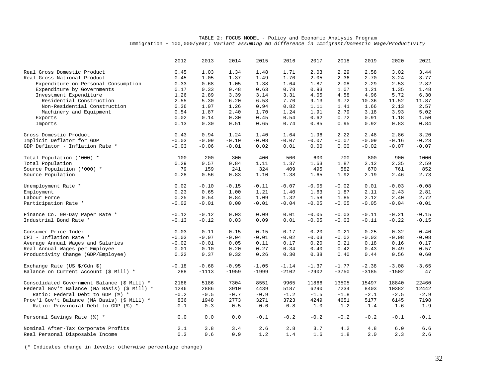|                                                       | 2012    | 2013    | 2014    | 2015    | 2016    | 2017    | 2018    | 2019    | 2020    | 2021           |
|-------------------------------------------------------|---------|---------|---------|---------|---------|---------|---------|---------|---------|----------------|
| Real Gross Domestic Product                           | 0.45    | 1.03    | 1.34    | 1.48    | 1.71    | 2.03    | 2.29    | 2.58    | 3.02    | 3.44           |
| Real Gross National Product                           | 0.45    | 1.05    | 1.37    | 1.49    | 1.70    | 2.05    | 2.36    | 2.70    | 3.24    | 3.77           |
| Expenditure on Personal Consumption                   | 0.33    | 0.68    | 1.05    | 1.38    | 1.64    | 1.87    | 2.08    | 2.29    | 2.53    | 2.82           |
| Expenditure by Governments                            | 0.17    | 0.33    | 0.48    | 0.63    | 0.78    | 0.93    | 1.07    | 1.21    | 1.35    | 1.48           |
| Investment Expenditure                                | 1.26    | 2.89    | 3.39    | 3.14    | 3.31    | 4.05    | 4.58    | 4.96    | 5.72    | 6.30           |
| Residential Construction                              | 2.55    | 5.30    | 6.20    | 6.53    | 7.70    | 9.13    | 9.72    | 10.36   | 11.52   | 11.87          |
| Non-Residential Construction                          | 0.36    | 1.07    | 1.26    | 0.94    | 0.82    | 1.11    | 1.41    | 1.66    | 2.13    | 2.57           |
| Machinery and Equipment                               | 0.54    | 1.87    | 2.40    | 1.70    | 1.24    | 1.91    | 2.79    | 3.18    | 3.93    | 5.02           |
| Exports                                               | 0.02    | 0.14    | 0.30    | 0.45    | 0.54    | 0.62    | 0.72    | 0.91    | 1.18    | 1.50           |
| Imports                                               | 0.13    | 0.30    | 0.51    | 0.65    | 0.74    | 0.85    | 0.95    | 0.92    | 0.83    | 0.84           |
|                                                       |         |         |         |         |         |         |         |         |         |                |
| Gross Domestic Product                                | 0.43    | 0.94    | 1.24    | 1.40    | 1.64    | 1.96    | 2.22    | 2.48    | 2.86    | 3.20           |
| Implicit Deflator for GDP                             | $-0.03$ | $-0.09$ | $-0.10$ | $-0.08$ | $-0.07$ | $-0.07$ | $-0.07$ | $-0.09$ | $-0.16$ | $-0.23$        |
| GDP Deflator - Inflation Rate *                       | $-0.03$ | $-0.06$ | $-0.01$ | 0.02    | 0.01    | 0.00    | 0.00    | $-0.02$ | $-0.07$ | $-0.07$        |
| Total Population ('000) *                             | 100     | 200     | 300     | 400     | 500     | 600     | 700     | 800     | 900     | 1000           |
| Total Population                                      | 0.29    | 0.57    | 0.84    | 1.11    | 1.37    | 1.63    | 1.87    | 2.12    | 2.35    | 2.59           |
| Source Population ('000) *                            | 79      | 159     | 241     | 324     | 409     | 495     | 582     | 670     | 761     | 852            |
| Source Population                                     | 0.28    | 0.56    | 0.83    | 1.10    | 1.38    | 1.65    | 1.92    | 2.19    | 2.46    | 2.73           |
|                                                       |         |         |         |         |         |         |         |         |         |                |
| Unemployment Rate *                                   | 0.02    | $-0.10$ | $-0.15$ | $-0.11$ | $-0.07$ | $-0.05$ | $-0.02$ | 0.01    | $-0.03$ | $-0.08$        |
| Employment                                            | 0.23    | 0.65    | 1.00    | 1.21    | 1.40    | 1.63    | 1.87    | 2.11    | 2.43    | 2.81           |
| Labour Force                                          | 0.25    | 0.54    | 0.84    | 1.09    | 1.32    | 1.58    | 1.85    | 2.12    | 2.40    | 2.72           |
| Participation Rate *                                  | $-0.02$ | $-0.01$ | 0.00    | $-0.01$ | $-0.04$ | $-0.05$ | $-0.05$ | $-0.05$ | $-0.04$ | $-0.01$        |
| Finance Co. 90-Day Paper Rate *                       | $-0.12$ | $-0.12$ | 0.03    | 0.09    | 0.01    | $-0.05$ | $-0.03$ | $-0.11$ | $-0.21$ | $-0.15$        |
| Industrial Bond Rate *                                | $-0.13$ | $-0.12$ | 0.03    | 0.09    | 0.01    | $-0.05$ | $-0.03$ | $-0.11$ | $-0.22$ | $-0.15$        |
|                                                       |         |         |         |         |         |         |         |         |         |                |
| Consumer Price Index                                  | $-0.03$ | $-0.11$ | $-0.15$ | $-0.15$ | $-0.17$ | $-0.20$ | $-0.21$ | $-0.25$ | $-0.32$ | $\sim0$ . $40$ |
| CPI - Inflation Rate *                                | $-0.03$ | $-0.07$ | $-0.04$ | $-0.01$ | $-0.02$ | $-0.03$ | $-0.02$ | $-0.03$ | $-0.08$ | $-0.08$        |
| Average Annual Wages and Salaries                     | $-0.02$ | $-0.01$ | 0.05    | 0.11    | 0.17    | 0.20    | 0.21    | 0.18    | 0.16    | 0.17           |
| Real Annual Wages per Employee                        | 0.01    | 0.10    | 0.20    | 0.27    | 0.34    | 0.40    | 0.42    | 0.43    | 0.49    | 0.57           |
| Productivity Change (GDP/Employee)                    | 0.22    | 0.37    | 0.32    | 0.26    | 0.30    | 0.38    | 0.40    | 0.44    | 0.56    | 0.60           |
| Exchange Rate (US $\frac{1}{2}$ / Cdn $\frac{1}{2}$ ) | $-0.18$ | $-0.68$ | $-0.95$ | $-1.05$ | $-1.14$ | $-1.37$ | $-1.77$ | $-2.38$ | $-3.08$ | $-3.65$        |
| Balance on Current Account (\$ Mill) *                | 288     | $-1113$ | $-1959$ | $-1999$ | $-2102$ | $-2902$ | $-3750$ | $-3185$ | $-1502$ | 47             |
|                                                       |         |         |         |         |         |         |         |         |         |                |
| Consolidated Government Balance (\$ Mill) *           | 2186    | 5186    | 7304    | 8551    | 9965    | 11866   | 13505   | 15497   | 18840   | 22460          |
| Federal Gov't Balance (NA Basis) (\$ Mill) *          | 1246    | 2886    | 3910    | 4439    | 5187    | 6290    | 7234    | 8403    | 10382   | 12442          |
| Ratio: Federal Debt to GDP (%) *                      | $-0.2$  | $-0.5$  | $-0.7$  | $-0.9$  | $-1.2$  | $-1.5$  | $-1.8$  | $-2.1$  | $-2.5$  | $-2.9$         |
| Prov'l Gov't Balance (NA Basis) (\$ Mill) *           | 836     | 1948    | 2773    | 3271    | 3723    | 4249    | 4651    | 5177    | 6145    | 7198           |
| Ratio: Provincial Debt to GDP (%) *                   | $-0.1$  | $-0.3$  | $-0.5$  | $-0.6$  | $-0.8$  | $-1.0$  | $-1.2$  | $-1.4$  | $-1.6$  | $-1.9$         |
| Personal Savings Rate (%) *                           | 0.0     | $0.0$   | $0.0$   | $-0.1$  | $-0.2$  | $-0.2$  | $-0.2$  | $-0.2$  | $-0.1$  | $-0.1$         |
| Nominal After-Tax Corporate Profits                   | 2.1     | 3.8     | 3.4     | 2.6     | 2.8     | 3.7     | 4.2     | 4.8     | 6.0     | 6.6            |
| Real Personal Disposable Income                       | 0.3     | 0.6     | 0.9     | 1.2     | 1.4     | 1.6     | 1.8     | 2.0     | 2.3     | 2.6            |

(\* Indicates change in levels; otherwise percentage change)